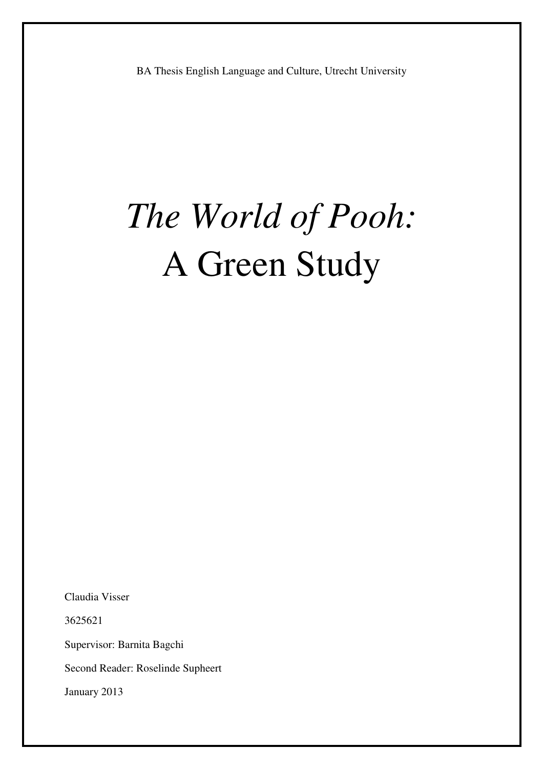# *The World of Pooh:* A Green Study

Claudia Visser

3625621

Supervisor: Barnita Bagchi

Second Reader: Roselinde Supheert

January 2013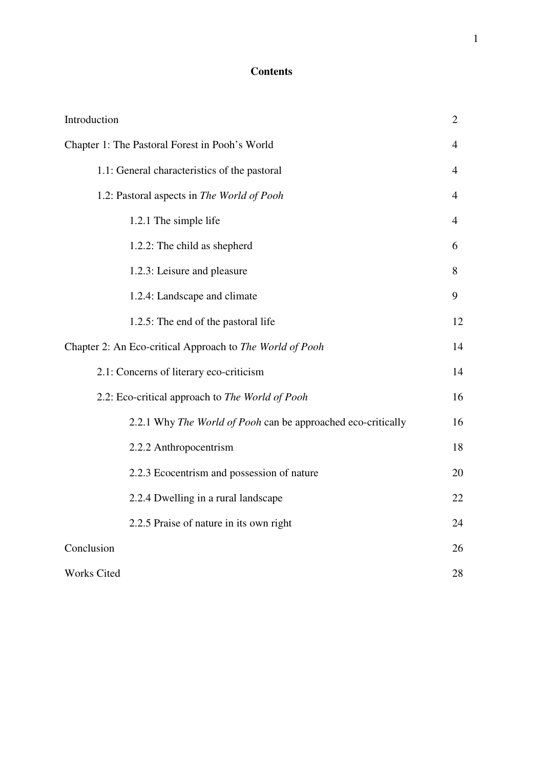## **Contents**

| Introduction                                                 | $\overline{2}$ |
|--------------------------------------------------------------|----------------|
| Chapter 1: The Pastoral Forest in Pooh's World               | $\overline{4}$ |
| 1.1: General characteristics of the pastoral                 | 4              |
| 1.2: Pastoral aspects in The World of Pooh                   | $\overline{4}$ |
| 1.2.1 The simple life                                        | 4              |
| 1.2.2: The child as shepherd                                 | 6              |
| 1.2.3: Leisure and pleasure                                  | 8              |
| 1.2.4: Landscape and climate                                 | 9              |
| 1.2.5: The end of the pastoral life                          | 12             |
| Chapter 2: An Eco-critical Approach to The World of Pooh     | 14             |
| 2.1: Concerns of literary eco-criticism                      | 14             |
| 2.2: Eco-critical approach to The World of Pooh              | 16             |
| 2.2.1 Why The World of Pooh can be approached eco-critically | 16             |
| 2.2.2 Anthropocentrism                                       | 18             |
| 2.2.3 Ecocentrism and possession of nature                   | 20             |
| 2.2.4 Dwelling in a rural landscape                          | 22             |
| 2.2.5 Praise of nature in its own right                      | 24             |
| Conclusion                                                   | 26             |
| <b>Works Cited</b>                                           | 28             |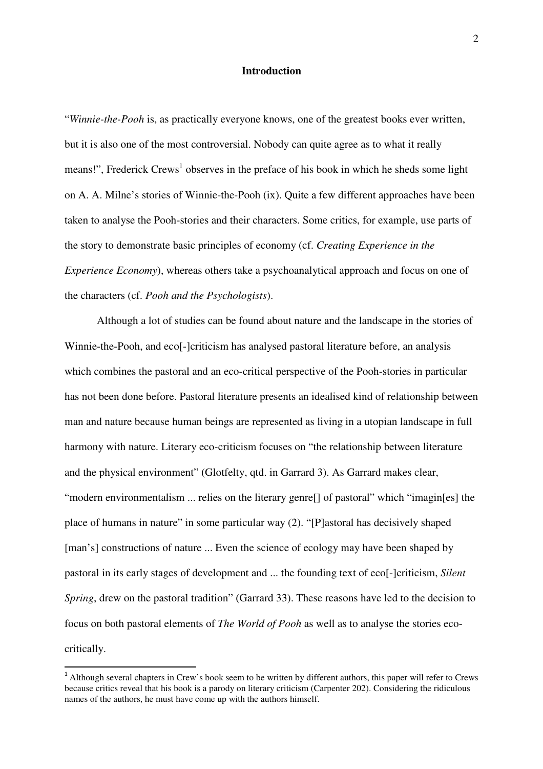## **Introduction**

"*Winnie-the-Pooh* is, as practically everyone knows, one of the greatest books ever written, but it is also one of the most controversial. Nobody can quite agree as to what it really means!", Frederick Crews<sup>1</sup> observes in the preface of his book in which he sheds some light on A. A. Milne's stories of Winnie-the-Pooh (ix). Quite a few different approaches have been taken to analyse the Pooh-stories and their characters. Some critics, for example, use parts of the story to demonstrate basic principles of economy (cf. *Creating Experience in the Experience Economy*), whereas others take a psychoanalytical approach and focus on one of the characters (cf. *Pooh and the Psychologists*).

Although a lot of studies can be found about nature and the landscape in the stories of Winnie-the-Pooh, and eco<sup>[</sup>-]criticism has analysed pastoral literature before, an analysis which combines the pastoral and an eco-critical perspective of the Pooh-stories in particular has not been done before. Pastoral literature presents an idealised kind of relationship between man and nature because human beings are represented as living in a utopian landscape in full harmony with nature. Literary eco-criticism focuses on "the relationship between literature and the physical environment" (Glotfelty, qtd. in Garrard 3). As Garrard makes clear, "modern environmentalism ... relies on the literary genre[] of pastoral" which "imagin[es] the place of humans in nature" in some particular way (2). "[P]astoral has decisively shaped [man's] constructions of nature ... Even the science of ecology may have been shaped by pastoral in its early stages of development and ... the founding text of eco[-]criticism, *Silent Spring*, drew on the pastoral tradition" (Garrard 33). These reasons have led to the decision to focus on both pastoral elements of *The World of Pooh* as well as to analyse the stories ecocritically.

 $\overline{a}$ 

<sup>&</sup>lt;sup>1</sup> Although several chapters in Crew's book seem to be written by different authors, this paper will refer to Crews because critics reveal that his book is a parody on literary criticism (Carpenter 202). Considering the ridiculous names of the authors, he must have come up with the authors himself.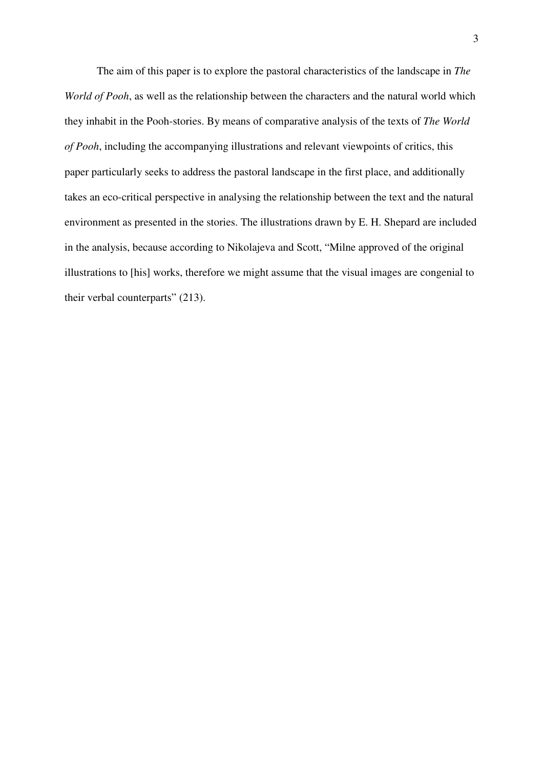The aim of this paper is to explore the pastoral characteristics of the landscape in *The World of Pooh*, as well as the relationship between the characters and the natural world which they inhabit in the Pooh-stories. By means of comparative analysis of the texts of *The World of Pooh*, including the accompanying illustrations and relevant viewpoints of critics, this paper particularly seeks to address the pastoral landscape in the first place, and additionally takes an eco-critical perspective in analysing the relationship between the text and the natural environment as presented in the stories. The illustrations drawn by E. H. Shepard are included in the analysis, because according to Nikolajeva and Scott, "Milne approved of the original illustrations to [his] works, therefore we might assume that the visual images are congenial to their verbal counterparts" (213).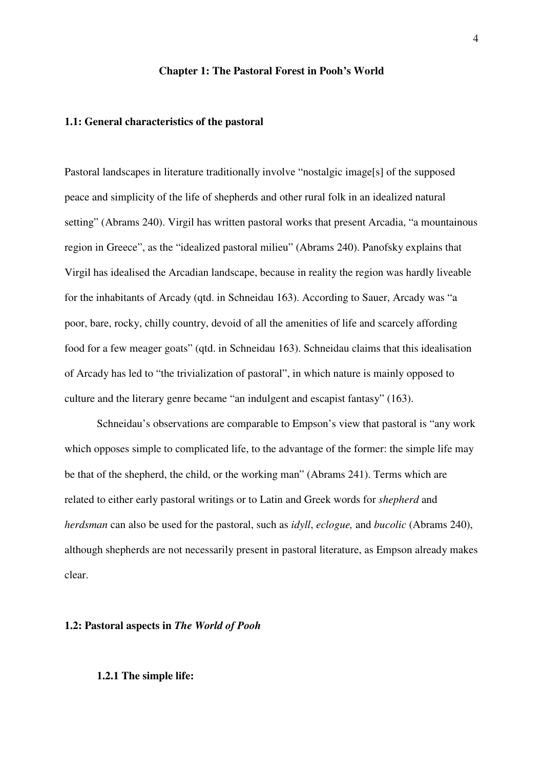#### **Chapter 1: The Pastoral Forest in Pooh's World**

#### **1.1: General characteristics of the pastoral**

Pastoral landscapes in literature traditionally involve "nostalgic image[s] of the supposed peace and simplicity of the life of shepherds and other rural folk in an idealized natural setting" (Abrams 240). Virgil has written pastoral works that present Arcadia, "a mountainous region in Greece", as the "idealized pastoral milieu" (Abrams 240). Panofsky explains that Virgil has idealised the Arcadian landscape, because in reality the region was hardly liveable for the inhabitants of Arcady (qtd. in Schneidau 163). According to Sauer, Arcady was "a poor, bare, rocky, chilly country, devoid of all the amenities of life and scarcely affording food for a few meager goats" (qtd. in Schneidau 163). Schneidau claims that this idealisation of Arcady has led to "the trivialization of pastoral", in which nature is mainly opposed to culture and the literary genre became "an indulgent and escapist fantasy" (163).

Schneidau's observations are comparable to Empson's view that pastoral is "any work which opposes simple to complicated life, to the advantage of the former: the simple life may be that of the shepherd, the child, or the working man" (Abrams 241). Terms which are related to either early pastoral writings or to Latin and Greek words for *shepherd* and *herdsman* can also be used for the pastoral, such as *idyll*, *eclogue,* and *bucolic* (Abrams 240), although shepherds are not necessarily present in pastoral literature, as Empson already makes clear.

#### **1.2: Pastoral aspects in** *The World of Pooh*

#### **1.2.1 The simple life:**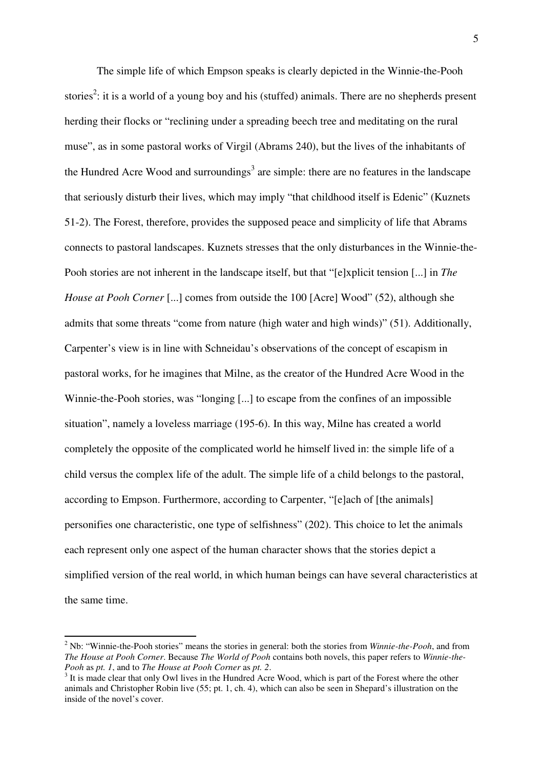The simple life of which Empson speaks is clearly depicted in the Winnie-the-Pooh stories<sup>2</sup>: it is a world of a young boy and his (stuffed) animals. There are no shepherds present herding their flocks or "reclining under a spreading beech tree and meditating on the rural muse", as in some pastoral works of Virgil (Abrams 240), but the lives of the inhabitants of the Hundred Acre Wood and surroundings<sup>3</sup> are simple: there are no features in the landscape that seriously disturb their lives, which may imply "that childhood itself is Edenic" (Kuznets 51-2). The Forest, therefore, provides the supposed peace and simplicity of life that Abrams connects to pastoral landscapes. Kuznets stresses that the only disturbances in the Winnie-the-Pooh stories are not inherent in the landscape itself, but that "[e]xplicit tension [...] in *The House at Pooh Corner* [...] comes from outside the 100 [Acre] Wood" (52), although she admits that some threats "come from nature (high water and high winds)" (51). Additionally, Carpenter's view is in line with Schneidau's observations of the concept of escapism in pastoral works, for he imagines that Milne, as the creator of the Hundred Acre Wood in the Winnie-the-Pooh stories, was "longing [...] to escape from the confines of an impossible situation", namely a loveless marriage (195-6). In this way, Milne has created a world completely the opposite of the complicated world he himself lived in: the simple life of a child versus the complex life of the adult. The simple life of a child belongs to the pastoral, according to Empson. Furthermore, according to Carpenter, "[e]ach of [the animals] personifies one characteristic, one type of selfishness" (202). This choice to let the animals each represent only one aspect of the human character shows that the stories depict a simplified version of the real world, in which human beings can have several characteristics at the same time.

 $\overline{a}$ 

<sup>&</sup>lt;sup>2</sup> Nb: "Winnie-the-Pooh stories" means the stories in general: both the stories from *Winnie-the-Pooh*, and from *The House at Pooh Corner*. Because *The World of Pooh* contains both novels, this paper refers to *Winnie-the-Pooh* as *pt. 1*, and to *The House at Pooh Corner* as *pt. 2*.

<sup>&</sup>lt;sup>3</sup> It is made clear that only Owl lives in the Hundred Acre Wood, which is part of the Forest where the other animals and Christopher Robin live (55; pt. 1, ch. 4), which can also be seen in Shepard's illustration on the inside of the novel's cover.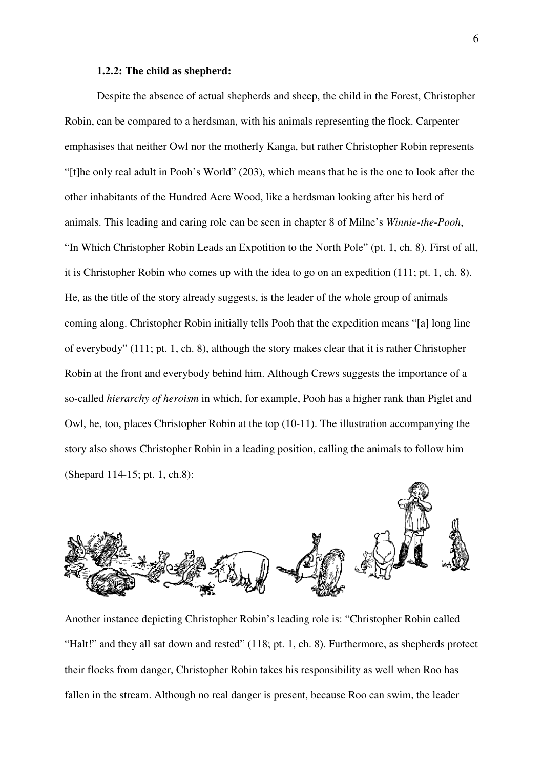#### **1.2.2: The child as shepherd:**

Despite the absence of actual shepherds and sheep, the child in the Forest, Christopher Robin, can be compared to a herdsman, with his animals representing the flock. Carpenter emphasises that neither Owl nor the motherly Kanga, but rather Christopher Robin represents "[t]he only real adult in Pooh's World" (203), which means that he is the one to look after the other inhabitants of the Hundred Acre Wood, like a herdsman looking after his herd of animals. This leading and caring role can be seen in chapter 8 of Milne's *Winnie-the-Pooh*, "In Which Christopher Robin Leads an Expotition to the North Pole" (pt. 1, ch. 8). First of all, it is Christopher Robin who comes up with the idea to go on an expedition (111; pt. 1, ch. 8). He, as the title of the story already suggests, is the leader of the whole group of animals coming along. Christopher Robin initially tells Pooh that the expedition means "[a] long line of everybody" (111; pt. 1, ch. 8), although the story makes clear that it is rather Christopher Robin at the front and everybody behind him. Although Crews suggests the importance of a so-called *hierarchy of heroism* in which, for example, Pooh has a higher rank than Piglet and Owl, he, too, places Christopher Robin at the top (10-11). The illustration accompanying the story also shows Christopher Robin in a leading position, calling the animals to follow him (Shepard 114-15; pt. 1, ch.8):



Another instance depicting Christopher Robin's leading role is: "Christopher Robin called "Halt!" and they all sat down and rested" (118; pt. 1, ch. 8). Furthermore, as shepherds protect their flocks from danger, Christopher Robin takes his responsibility as well when Roo has fallen in the stream. Although no real danger is present, because Roo can swim, the leader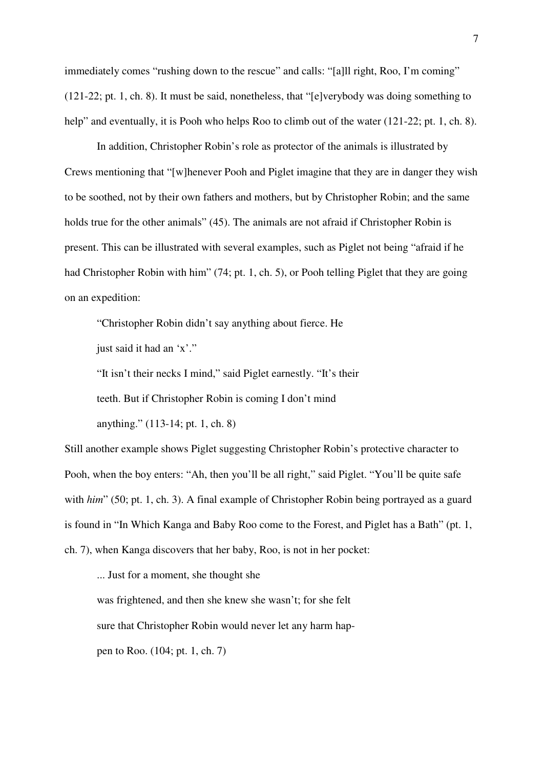immediately comes "rushing down to the rescue" and calls: "[a]ll right, Roo, I'm coming" (121-22; pt. 1, ch. 8). It must be said, nonetheless, that "[e]verybody was doing something to help" and eventually, it is Pooh who helps Roo to climb out of the water (121-22; pt. 1, ch. 8).

 In addition, Christopher Robin's role as protector of the animals is illustrated by Crews mentioning that "[w]henever Pooh and Piglet imagine that they are in danger they wish to be soothed, not by their own fathers and mothers, but by Christopher Robin; and the same holds true for the other animals" (45). The animals are not afraid if Christopher Robin is present. This can be illustrated with several examples, such as Piglet not being "afraid if he had Christopher Robin with him" (74; pt. 1, ch. 5), or Pooh telling Piglet that they are going on an expedition:

"Christopher Robin didn't say anything about fierce. He

just said it had an 'x'."

"It isn't their necks I mind," said Piglet earnestly. "It's their

teeth. But if Christopher Robin is coming I don't mind

anything." (113-14; pt. 1, ch. 8)

Still another example shows Piglet suggesting Christopher Robin's protective character to Pooh, when the boy enters: "Ah, then you'll be all right," said Piglet. "You'll be quite safe with *him*" (50; pt. 1, ch. 3). A final example of Christopher Robin being portrayed as a guard is found in "In Which Kanga and Baby Roo come to the Forest, and Piglet has a Bath" (pt. 1, ch. 7), when Kanga discovers that her baby, Roo, is not in her pocket:

... Just for a moment, she thought she

was frightened, and then she knew she wasn't; for she felt

sure that Christopher Robin would never let any harm hap-

pen to Roo. (104; pt. 1, ch. 7)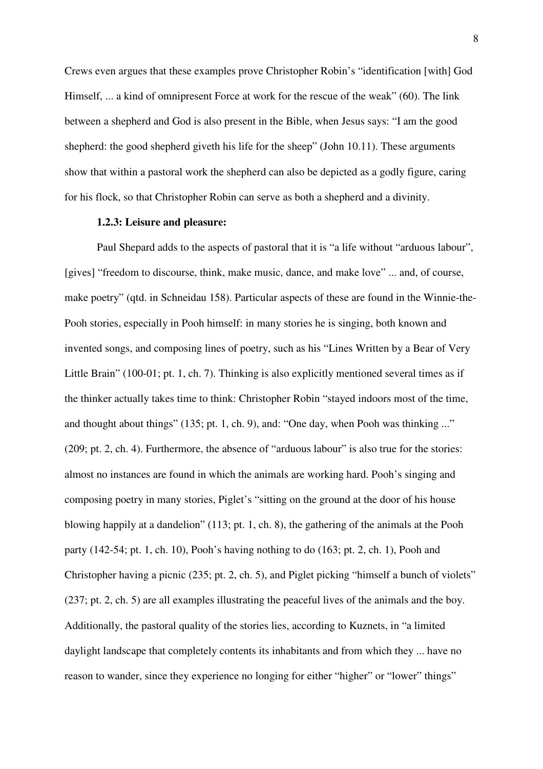Crews even argues that these examples prove Christopher Robin's "identification [with] God Himself, ... a kind of omnipresent Force at work for the rescue of the weak" (60). The link between a shepherd and God is also present in the Bible, when Jesus says: "I am the good shepherd: the good shepherd giveth his life for the sheep" (John 10.11). These arguments show that within a pastoral work the shepherd can also be depicted as a godly figure, caring for his flock, so that Christopher Robin can serve as both a shepherd and a divinity.

#### **1.2.3: Leisure and pleasure:**

 Paul Shepard adds to the aspects of pastoral that it is "a life without "arduous labour", [gives] "freedom to discourse, think, make music, dance, and make love" ... and, of course, make poetry" (qtd. in Schneidau 158). Particular aspects of these are found in the Winnie-the-Pooh stories, especially in Pooh himself: in many stories he is singing, both known and invented songs, and composing lines of poetry, such as his "Lines Written by a Bear of Very Little Brain" (100-01; pt. 1, ch. 7). Thinking is also explicitly mentioned several times as if the thinker actually takes time to think: Christopher Robin "stayed indoors most of the time, and thought about things" (135; pt. 1, ch. 9), and: "One day, when Pooh was thinking ..." (209; pt. 2, ch. 4). Furthermore, the absence of "arduous labour" is also true for the stories: almost no instances are found in which the animals are working hard. Pooh's singing and composing poetry in many stories, Piglet's "sitting on the ground at the door of his house blowing happily at a dandelion" (113; pt. 1, ch. 8), the gathering of the animals at the Pooh party (142-54; pt. 1, ch. 10), Pooh's having nothing to do (163; pt. 2, ch. 1), Pooh and Christopher having a picnic (235; pt. 2, ch. 5), and Piglet picking "himself a bunch of violets" (237; pt. 2, ch. 5) are all examples illustrating the peaceful lives of the animals and the boy. Additionally, the pastoral quality of the stories lies, according to Kuznets, in "a limited daylight landscape that completely contents its inhabitants and from which they ... have no reason to wander, since they experience no longing for either "higher" or "lower" things"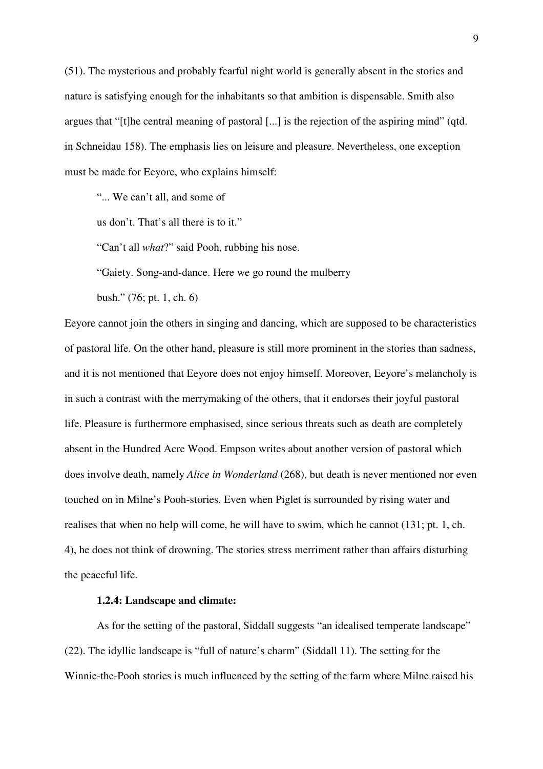(51). The mysterious and probably fearful night world is generally absent in the stories and nature is satisfying enough for the inhabitants so that ambition is dispensable. Smith also argues that "[t]he central meaning of pastoral [...] is the rejection of the aspiring mind" (qtd. in Schneidau 158). The emphasis lies on leisure and pleasure. Nevertheless, one exception must be made for Eeyore, who explains himself:

"... We can't all, and some of

us don't. That's all there is to it."

"Can't all *what*?" said Pooh, rubbing his nose.

"Gaiety. Song-and-dance. Here we go round the mulberry

bush." (76; pt. 1, ch. 6)

Eeyore cannot join the others in singing and dancing, which are supposed to be characteristics of pastoral life. On the other hand, pleasure is still more prominent in the stories than sadness, and it is not mentioned that Eeyore does not enjoy himself. Moreover, Eeyore's melancholy is in such a contrast with the merrymaking of the others, that it endorses their joyful pastoral life. Pleasure is furthermore emphasised, since serious threats such as death are completely absent in the Hundred Acre Wood. Empson writes about another version of pastoral which does involve death, namely *Alice in Wonderland* (268), but death is never mentioned nor even touched on in Milne's Pooh-stories. Even when Piglet is surrounded by rising water and realises that when no help will come, he will have to swim, which he cannot (131; pt. 1, ch. 4), he does not think of drowning. The stories stress merriment rather than affairs disturbing the peaceful life.

#### **1.2.4: Landscape and climate:**

 As for the setting of the pastoral, Siddall suggests "an idealised temperate landscape" (22). The idyllic landscape is "full of nature's charm" (Siddall 11). The setting for the Winnie-the-Pooh stories is much influenced by the setting of the farm where Milne raised his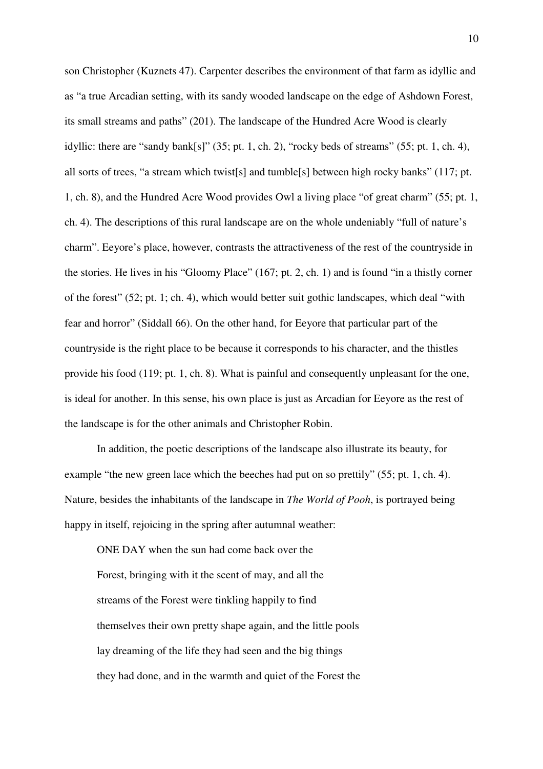son Christopher (Kuznets 47). Carpenter describes the environment of that farm as idyllic and as "a true Arcadian setting, with its sandy wooded landscape on the edge of Ashdown Forest, its small streams and paths" (201). The landscape of the Hundred Acre Wood is clearly idyllic: there are "sandy bank[s]" (35; pt. 1, ch. 2), "rocky beds of streams" (55; pt. 1, ch. 4), all sorts of trees, "a stream which twist[s] and tumble[s] between high rocky banks" (117; pt. 1, ch. 8), and the Hundred Acre Wood provides Owl a living place "of great charm" (55; pt. 1, ch. 4). The descriptions of this rural landscape are on the whole undeniably "full of nature's charm". Eeyore's place, however, contrasts the attractiveness of the rest of the countryside in the stories. He lives in his "Gloomy Place" (167; pt. 2, ch. 1) and is found "in a thistly corner of the forest" (52; pt. 1; ch. 4), which would better suit gothic landscapes, which deal "with fear and horror" (Siddall 66). On the other hand, for Eeyore that particular part of the countryside is the right place to be because it corresponds to his character, and the thistles provide his food (119; pt. 1, ch. 8). What is painful and consequently unpleasant for the one, is ideal for another. In this sense, his own place is just as Arcadian for Eeyore as the rest of the landscape is for the other animals and Christopher Robin.

In addition, the poetic descriptions of the landscape also illustrate its beauty, for example "the new green lace which the beeches had put on so prettily" (55; pt. 1, ch. 4). Nature, besides the inhabitants of the landscape in *The World of Pooh*, is portrayed being happy in itself, rejoicing in the spring after autumnal weather:

 ONE DAY when the sun had come back over the Forest, bringing with it the scent of may, and all the streams of the Forest were tinkling happily to find themselves their own pretty shape again, and the little pools lay dreaming of the life they had seen and the big things they had done, and in the warmth and quiet of the Forest the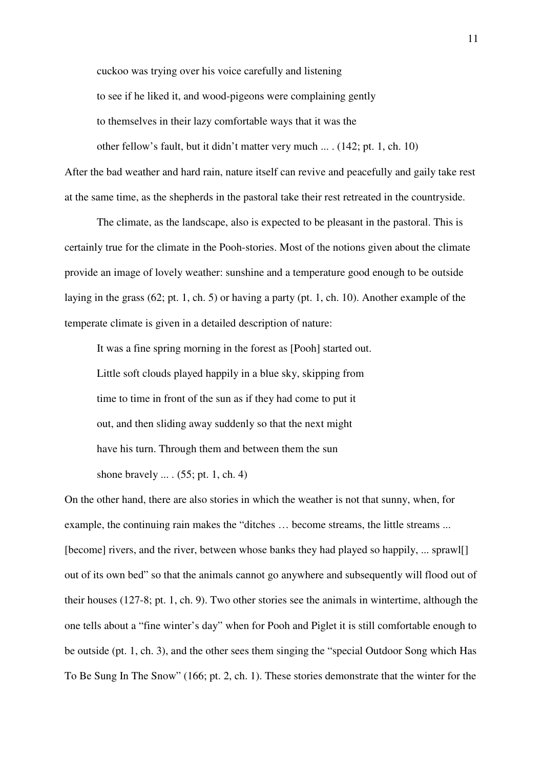cuckoo was trying over his voice carefully and listening

to see if he liked it, and wood-pigeons were complaining gently

to themselves in their lazy comfortable ways that it was the

other fellow's fault, but it didn't matter very much ... . (142; pt. 1, ch. 10)

After the bad weather and hard rain, nature itself can revive and peacefully and gaily take rest at the same time, as the shepherds in the pastoral take their rest retreated in the countryside.

 The climate, as the landscape, also is expected to be pleasant in the pastoral. This is certainly true for the climate in the Pooh-stories. Most of the notions given about the climate provide an image of lovely weather: sunshine and a temperature good enough to be outside laying in the grass (62; pt. 1, ch. 5) or having a party (pt. 1, ch. 10). Another example of the temperate climate is given in a detailed description of nature:

 It was a fine spring morning in the forest as [Pooh] started out. Little soft clouds played happily in a blue sky, skipping from time to time in front of the sun as if they had come to put it out, and then sliding away suddenly so that the next might have his turn. Through them and between them the sun shone bravely ... . (55; pt. 1, ch. 4)

On the other hand, there are also stories in which the weather is not that sunny, when, for example, the continuing rain makes the "ditches … become streams, the little streams ... [become] rivers, and the river, between whose banks they had played so happily, ... sprawl[] out of its own bed" so that the animals cannot go anywhere and subsequently will flood out of their houses (127-8; pt. 1, ch. 9). Two other stories see the animals in wintertime, although the one tells about a "fine winter's day" when for Pooh and Piglet it is still comfortable enough to be outside (pt. 1, ch. 3), and the other sees them singing the "special Outdoor Song which Has To Be Sung In The Snow" (166; pt. 2, ch. 1). These stories demonstrate that the winter for the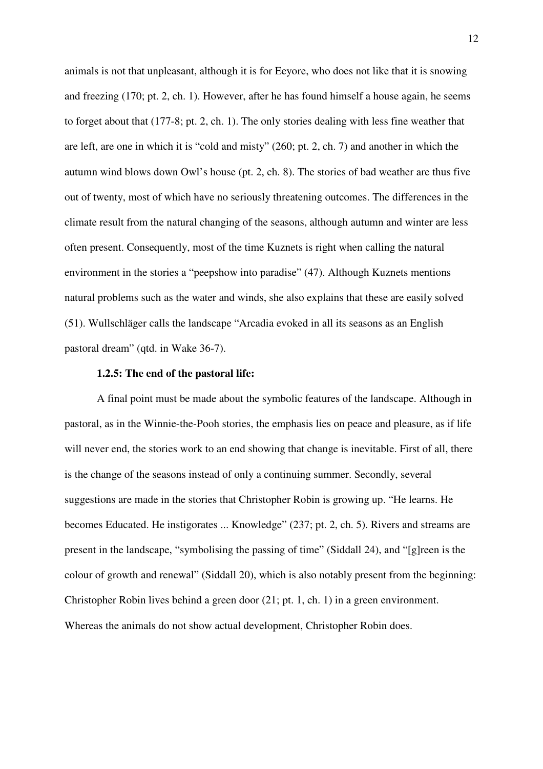animals is not that unpleasant, although it is for Eeyore, who does not like that it is snowing and freezing (170; pt. 2, ch. 1). However, after he has found himself a house again, he seems to forget about that (177-8; pt. 2, ch. 1). The only stories dealing with less fine weather that are left, are one in which it is "cold and misty" (260; pt. 2, ch. 7) and another in which the autumn wind blows down Owl's house (pt. 2, ch. 8). The stories of bad weather are thus five out of twenty, most of which have no seriously threatening outcomes. The differences in the climate result from the natural changing of the seasons, although autumn and winter are less often present. Consequently, most of the time Kuznets is right when calling the natural environment in the stories a "peepshow into paradise" (47). Although Kuznets mentions natural problems such as the water and winds, she also explains that these are easily solved (51). Wullschläger calls the landscape "Arcadia evoked in all its seasons as an English pastoral dream" (qtd. in Wake 36-7).

#### **1.2.5: The end of the pastoral life:**

 A final point must be made about the symbolic features of the landscape. Although in pastoral, as in the Winnie-the-Pooh stories, the emphasis lies on peace and pleasure, as if life will never end, the stories work to an end showing that change is inevitable. First of all, there is the change of the seasons instead of only a continuing summer. Secondly, several suggestions are made in the stories that Christopher Robin is growing up. "He learns. He becomes Educated. He instigorates ... Knowledge" (237; pt. 2, ch. 5). Rivers and streams are present in the landscape, "symbolising the passing of time" (Siddall 24), and "[g]reen is the colour of growth and renewal" (Siddall 20), which is also notably present from the beginning: Christopher Robin lives behind a green door (21; pt. 1, ch. 1) in a green environment. Whereas the animals do not show actual development, Christopher Robin does.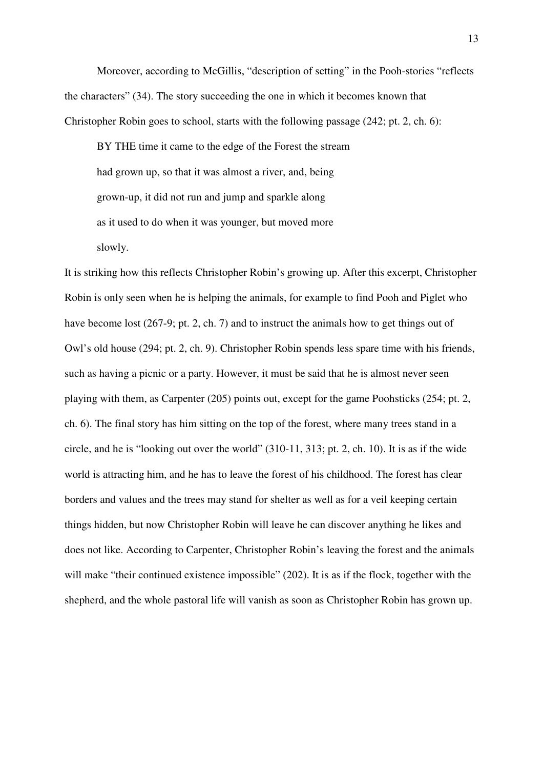Moreover, according to McGillis, "description of setting" in the Pooh-stories "reflects the characters" (34). The story succeeding the one in which it becomes known that Christopher Robin goes to school, starts with the following passage (242; pt. 2, ch. 6):

 BY THE time it came to the edge of the Forest the stream had grown up, so that it was almost a river, and, being grown-up, it did not run and jump and sparkle along as it used to do when it was younger, but moved more slowly.

It is striking how this reflects Christopher Robin's growing up. After this excerpt, Christopher Robin is only seen when he is helping the animals, for example to find Pooh and Piglet who have become lost (267-9; pt. 2, ch. 7) and to instruct the animals how to get things out of Owl's old house (294; pt. 2, ch. 9). Christopher Robin spends less spare time with his friends, such as having a picnic or a party. However, it must be said that he is almost never seen playing with them, as Carpenter (205) points out, except for the game Poohsticks (254; pt. 2, ch. 6). The final story has him sitting on the top of the forest, where many trees stand in a circle, and he is "looking out over the world" (310-11, 313; pt. 2, ch. 10). It is as if the wide world is attracting him, and he has to leave the forest of his childhood. The forest has clear borders and values and the trees may stand for shelter as well as for a veil keeping certain things hidden, but now Christopher Robin will leave he can discover anything he likes and does not like. According to Carpenter, Christopher Robin's leaving the forest and the animals will make "their continued existence impossible" (202). It is as if the flock, together with the shepherd, and the whole pastoral life will vanish as soon as Christopher Robin has grown up.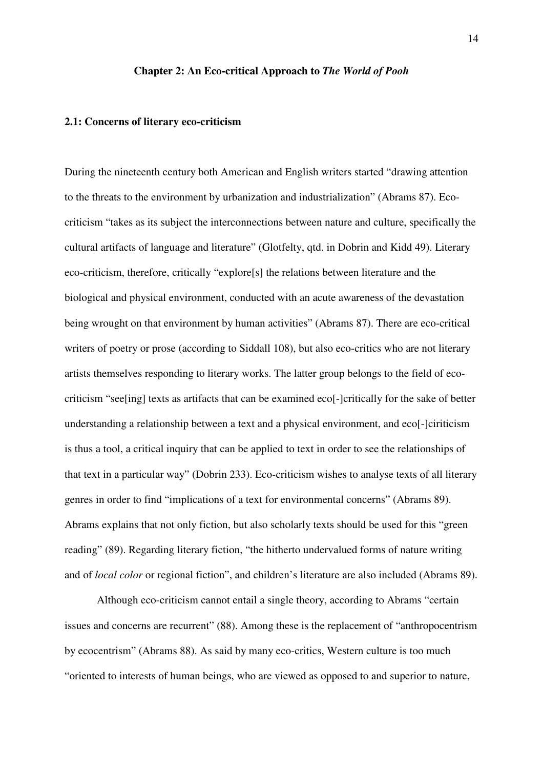#### **Chapter 2: An Eco-critical Approach to** *The World of Pooh*

#### **2.1: Concerns of literary eco-criticism**

During the nineteenth century both American and English writers started "drawing attention to the threats to the environment by urbanization and industrialization" (Abrams 87). Ecocriticism "takes as its subject the interconnections between nature and culture, specifically the cultural artifacts of language and literature" (Glotfelty, qtd. in Dobrin and Kidd 49). Literary eco-criticism, therefore, critically "explore[s] the relations between literature and the biological and physical environment, conducted with an acute awareness of the devastation being wrought on that environment by human activities" (Abrams 87). There are eco-critical writers of poetry or prose (according to Siddall 108), but also eco-critics who are not literary artists themselves responding to literary works. The latter group belongs to the field of ecocriticism "see[ing] texts as artifacts that can be examined eco[-]critically for the sake of better understanding a relationship between a text and a physical environment, and eco[-]ciriticism is thus a tool, a critical inquiry that can be applied to text in order to see the relationships of that text in a particular way" (Dobrin 233). Eco-criticism wishes to analyse texts of all literary genres in order to find "implications of a text for environmental concerns" (Abrams 89). Abrams explains that not only fiction, but also scholarly texts should be used for this "green reading" (89). Regarding literary fiction, "the hitherto undervalued forms of nature writing and of *local color* or regional fiction", and children's literature are also included (Abrams 89).

Although eco-criticism cannot entail a single theory, according to Abrams "certain issues and concerns are recurrent" (88). Among these is the replacement of "anthropocentrism by ecocentrism" (Abrams 88). As said by many eco-critics, Western culture is too much "oriented to interests of human beings, who are viewed as opposed to and superior to nature,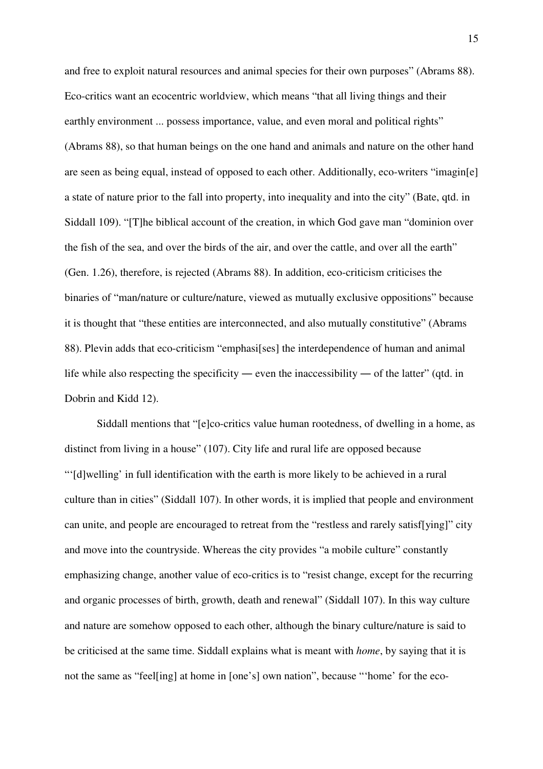and free to exploit natural resources and animal species for their own purposes" (Abrams 88). Eco-critics want an ecocentric worldview, which means "that all living things and their earthly environment ... possess importance, value, and even moral and political rights" (Abrams 88), so that human beings on the one hand and animals and nature on the other hand are seen as being equal, instead of opposed to each other. Additionally, eco-writers "imagin[e] a state of nature prior to the fall into property, into inequality and into the city" (Bate, qtd. in Siddall 109). "[T]he biblical account of the creation, in which God gave man "dominion over the fish of the sea, and over the birds of the air, and over the cattle, and over all the earth" (Gen. 1.26), therefore, is rejected (Abrams 88). In addition, eco-criticism criticises the binaries of "man/nature or culture/nature, viewed as mutually exclusive oppositions" because it is thought that "these entities are interconnected, and also mutually constitutive" (Abrams 88). Plevin adds that eco-criticism "emphasi[ses] the interdependence of human and animal life while also respecting the specificity ― even the inaccessibility ― of the latter" (qtd. in Dobrin and Kidd 12).

Siddall mentions that "[e]co-critics value human rootedness, of dwelling in a home, as distinct from living in a house" (107). City life and rural life are opposed because "'[d]welling' in full identification with the earth is more likely to be achieved in a rural culture than in cities" (Siddall 107). In other words, it is implied that people and environment can unite, and people are encouraged to retreat from the "restless and rarely satisf[ying]" city and move into the countryside. Whereas the city provides "a mobile culture" constantly emphasizing change, another value of eco-critics is to "resist change, except for the recurring and organic processes of birth, growth, death and renewal" (Siddall 107). In this way culture and nature are somehow opposed to each other, although the binary culture/nature is said to be criticised at the same time. Siddall explains what is meant with *home*, by saying that it is not the same as "feel[ing] at home in [one's] own nation", because "'home' for the eco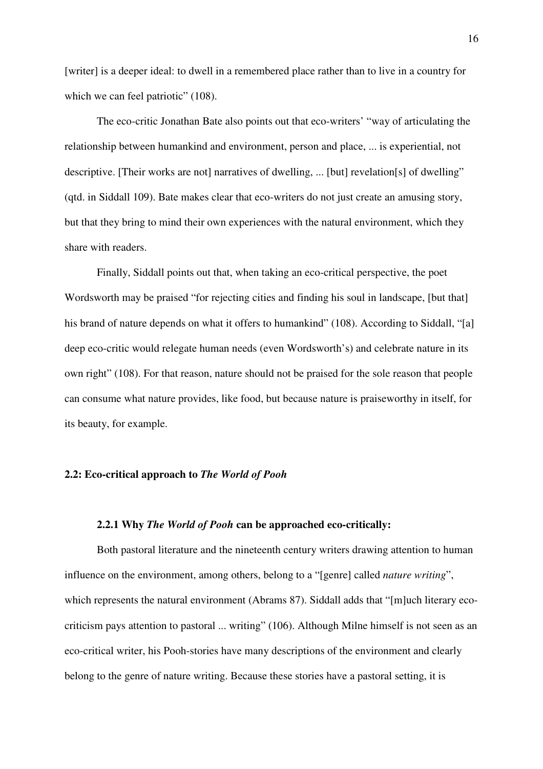[writer] is a deeper ideal: to dwell in a remembered place rather than to live in a country for which we can feel patriotic" (108).

The eco-critic Jonathan Bate also points out that eco-writers' "way of articulating the relationship between humankind and environment, person and place, ... is experiential, not descriptive. [Their works are not] narratives of dwelling, ... [but] revelation[s] of dwelling" (qtd. in Siddall 109). Bate makes clear that eco-writers do not just create an amusing story, but that they bring to mind their own experiences with the natural environment, which they share with readers.

Finally, Siddall points out that, when taking an eco-critical perspective, the poet Wordsworth may be praised "for rejecting cities and finding his soul in landscape, [but that] his brand of nature depends on what it offers to humankind" (108). According to Siddall, "[a] deep eco-critic would relegate human needs (even Wordsworth's) and celebrate nature in its own right" (108). For that reason, nature should not be praised for the sole reason that people can consume what nature provides, like food, but because nature is praiseworthy in itself, for its beauty, for example.

## **2.2: Eco-critical approach to** *The World of Pooh*

## **2.2.1 Why** *The World of Pooh* **can be approached eco-critically:**

Both pastoral literature and the nineteenth century writers drawing attention to human influence on the environment, among others, belong to a "[genre] called *nature writing*", which represents the natural environment (Abrams 87). Siddall adds that "[m]uch literary ecocriticism pays attention to pastoral ... writing" (106). Although Milne himself is not seen as an eco-critical writer, his Pooh-stories have many descriptions of the environment and clearly belong to the genre of nature writing. Because these stories have a pastoral setting, it is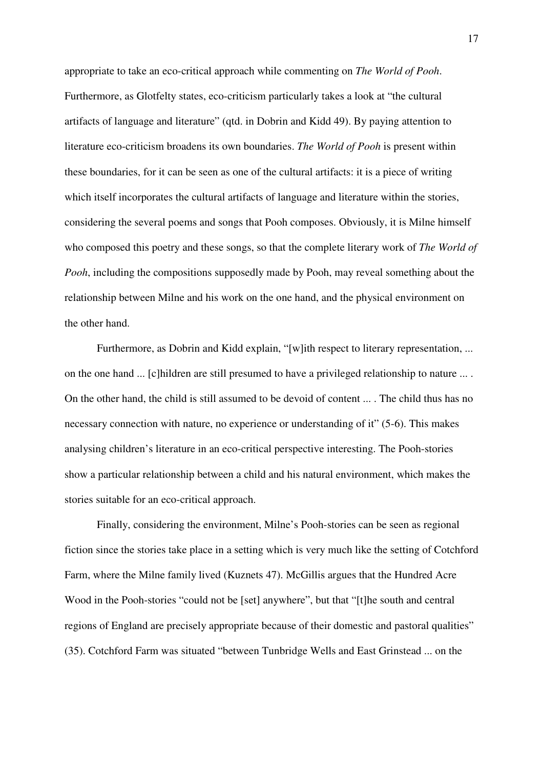appropriate to take an eco-critical approach while commenting on *The World of Pooh*. Furthermore, as Glotfelty states, eco-criticism particularly takes a look at "the cultural artifacts of language and literature" (qtd. in Dobrin and Kidd 49). By paying attention to literature eco-criticism broadens its own boundaries. *The World of Pooh* is present within these boundaries, for it can be seen as one of the cultural artifacts: it is a piece of writing which itself incorporates the cultural artifacts of language and literature within the stories, considering the several poems and songs that Pooh composes. Obviously, it is Milne himself who composed this poetry and these songs, so that the complete literary work of *The World of Pooh*, including the compositions supposedly made by Pooh, may reveal something about the relationship between Milne and his work on the one hand, and the physical environment on the other hand.

Furthermore, as Dobrin and Kidd explain, "[w]ith respect to literary representation, ... on the one hand ... [c]hildren are still presumed to have a privileged relationship to nature ... . On the other hand, the child is still assumed to be devoid of content ... . The child thus has no necessary connection with nature, no experience or understanding of it" (5-6). This makes analysing children's literature in an eco-critical perspective interesting. The Pooh-stories show a particular relationship between a child and his natural environment, which makes the stories suitable for an eco-critical approach.

Finally, considering the environment, Milne's Pooh-stories can be seen as regional fiction since the stories take place in a setting which is very much like the setting of Cotchford Farm, where the Milne family lived (Kuznets 47). McGillis argues that the Hundred Acre Wood in the Pooh-stories "could not be [set] anywhere", but that "[t]he south and central regions of England are precisely appropriate because of their domestic and pastoral qualities" (35). Cotchford Farm was situated "between Tunbridge Wells and East Grinstead ... on the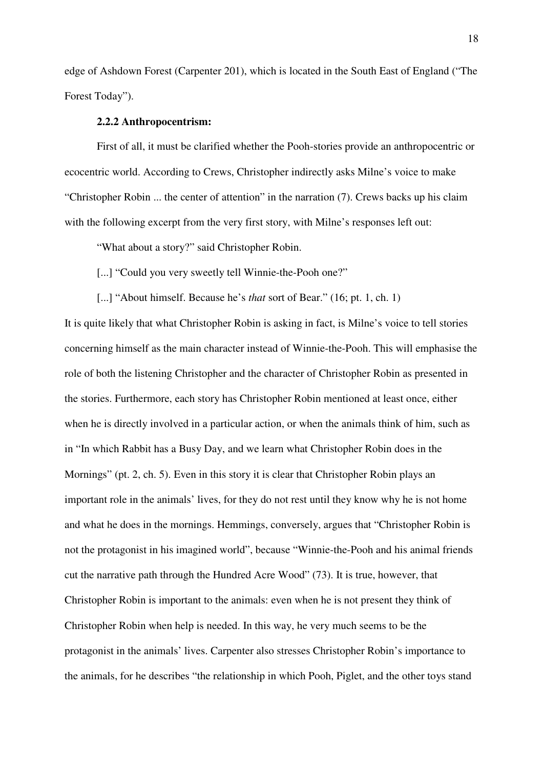edge of Ashdown Forest (Carpenter 201), which is located in the South East of England ("The Forest Today").

#### **2.2.2 Anthropocentrism:**

First of all, it must be clarified whether the Pooh-stories provide an anthropocentric or ecocentric world. According to Crews, Christopher indirectly asks Milne's voice to make "Christopher Robin ... the center of attention" in the narration (7). Crews backs up his claim with the following excerpt from the very first story, with Milne's responses left out:

"What about a story?" said Christopher Robin.

[...] "Could you very sweetly tell Winnie-the-Pooh one?"

[...] "About himself. Because he's *that* sort of Bear." (16; pt. 1, ch. 1)

It is quite likely that what Christopher Robin is asking in fact, is Milne's voice to tell stories concerning himself as the main character instead of Winnie-the-Pooh. This will emphasise the role of both the listening Christopher and the character of Christopher Robin as presented in the stories. Furthermore, each story has Christopher Robin mentioned at least once, either when he is directly involved in a particular action, or when the animals think of him, such as in "In which Rabbit has a Busy Day, and we learn what Christopher Robin does in the Mornings" (pt. 2, ch. 5). Even in this story it is clear that Christopher Robin plays an important role in the animals' lives, for they do not rest until they know why he is not home and what he does in the mornings. Hemmings, conversely, argues that "Christopher Robin is not the protagonist in his imagined world", because "Winnie-the-Pooh and his animal friends cut the narrative path through the Hundred Acre Wood" (73). It is true, however, that Christopher Robin is important to the animals: even when he is not present they think of Christopher Robin when help is needed. In this way, he very much seems to be the protagonist in the animals' lives. Carpenter also stresses Christopher Robin's importance to the animals, for he describes "the relationship in which Pooh, Piglet, and the other toys stand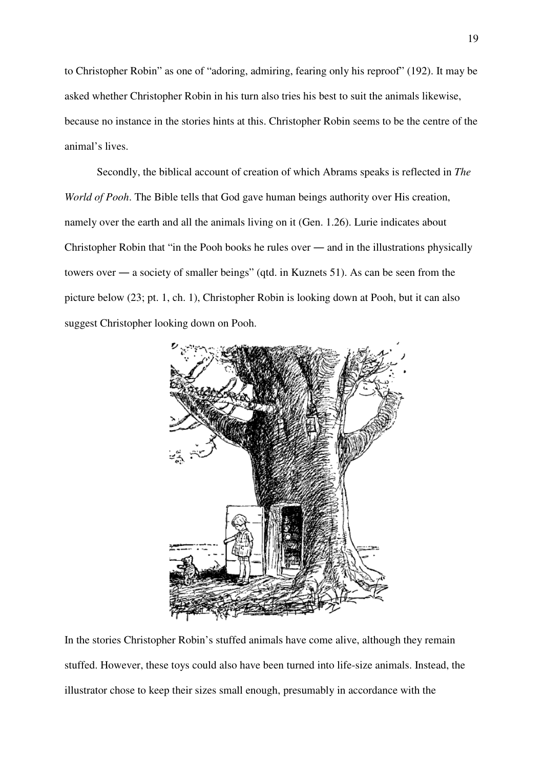to Christopher Robin" as one of "adoring, admiring, fearing only his reproof" (192). It may be asked whether Christopher Robin in his turn also tries his best to suit the animals likewise, because no instance in the stories hints at this. Christopher Robin seems to be the centre of the animal's lives.

Secondly, the biblical account of creation of which Abrams speaks is reflected in *The World of Pooh*. The Bible tells that God gave human beings authority over His creation, namely over the earth and all the animals living on it (Gen. 1.26). Lurie indicates about Christopher Robin that "in the Pooh books he rules over ― and in the illustrations physically towers over ― a society of smaller beings" (qtd. in Kuznets 51). As can be seen from the picture below (23; pt. 1, ch. 1), Christopher Robin is looking down at Pooh, but it can also suggest Christopher looking down on Pooh.



In the stories Christopher Robin's stuffed animals have come alive, although they remain stuffed. However, these toys could also have been turned into life-size animals. Instead, the illustrator chose to keep their sizes small enough, presumably in accordance with the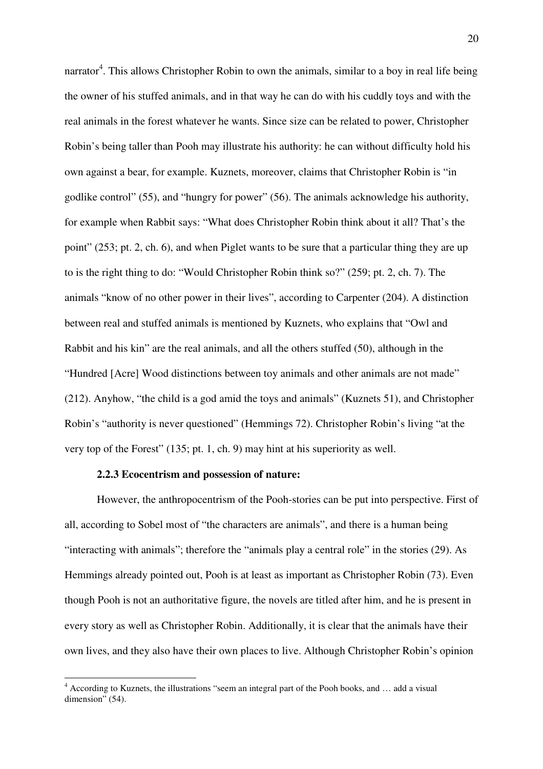narrator<sup>4</sup>. This allows Christopher Robin to own the animals, similar to a boy in real life being the owner of his stuffed animals, and in that way he can do with his cuddly toys and with the real animals in the forest whatever he wants. Since size can be related to power, Christopher Robin's being taller than Pooh may illustrate his authority: he can without difficulty hold his own against a bear, for example. Kuznets, moreover, claims that Christopher Robin is "in godlike control" (55), and "hungry for power" (56). The animals acknowledge his authority, for example when Rabbit says: "What does Christopher Robin think about it all? That's the point" (253; pt. 2, ch. 6), and when Piglet wants to be sure that a particular thing they are up to is the right thing to do: "Would Christopher Robin think so?" (259; pt. 2, ch. 7). The animals "know of no other power in their lives", according to Carpenter (204). A distinction between real and stuffed animals is mentioned by Kuznets, who explains that "Owl and Rabbit and his kin" are the real animals, and all the others stuffed (50), although in the "Hundred [Acre] Wood distinctions between toy animals and other animals are not made" (212). Anyhow, "the child is a god amid the toys and animals" (Kuznets 51), and Christopher Robin's "authority is never questioned" (Hemmings 72). Christopher Robin's living "at the very top of the Forest" (135; pt. 1, ch. 9) may hint at his superiority as well.

## **2.2.3 Ecocentrism and possession of nature:**

l

However, the anthropocentrism of the Pooh-stories can be put into perspective. First of all, according to Sobel most of "the characters are animals", and there is a human being "interacting with animals"; therefore the "animals play a central role" in the stories (29). As Hemmings already pointed out, Pooh is at least as important as Christopher Robin (73). Even though Pooh is not an authoritative figure, the novels are titled after him, and he is present in every story as well as Christopher Robin. Additionally, it is clear that the animals have their own lives, and they also have their own places to live. Although Christopher Robin's opinion

<sup>&</sup>lt;sup>4</sup> According to Kuznets, the illustrations "seem an integral part of the Pooh books, and ... add a visual dimension" (54).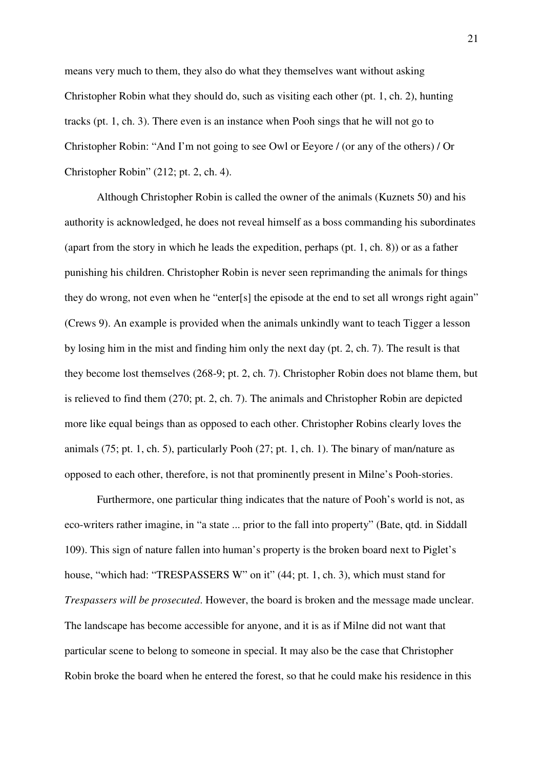means very much to them, they also do what they themselves want without asking Christopher Robin what they should do, such as visiting each other (pt. 1, ch. 2), hunting tracks (pt. 1, ch. 3). There even is an instance when Pooh sings that he will not go to Christopher Robin: "And I'm not going to see Owl or Eeyore / (or any of the others) / Or Christopher Robin" (212; pt. 2, ch. 4).

Although Christopher Robin is called the owner of the animals (Kuznets 50) and his authority is acknowledged, he does not reveal himself as a boss commanding his subordinates (apart from the story in which he leads the expedition, perhaps (pt. 1, ch. 8)) or as a father punishing his children. Christopher Robin is never seen reprimanding the animals for things they do wrong, not even when he "enter[s] the episode at the end to set all wrongs right again" (Crews 9). An example is provided when the animals unkindly want to teach Tigger a lesson by losing him in the mist and finding him only the next day (pt. 2, ch. 7). The result is that they become lost themselves (268-9; pt. 2, ch. 7). Christopher Robin does not blame them, but is relieved to find them (270; pt. 2, ch. 7). The animals and Christopher Robin are depicted more like equal beings than as opposed to each other. Christopher Robins clearly loves the animals (75; pt. 1, ch. 5), particularly Pooh (27; pt. 1, ch. 1). The binary of man/nature as opposed to each other, therefore, is not that prominently present in Milne's Pooh-stories.

Furthermore, one particular thing indicates that the nature of Pooh's world is not, as eco-writers rather imagine, in "a state ... prior to the fall into property" (Bate, qtd. in Siddall 109). This sign of nature fallen into human's property is the broken board next to Piglet's house, "which had: "TRESPASSERS W" on it" (44; pt. 1, ch. 3), which must stand for *Trespassers will be prosecuted*. However, the board is broken and the message made unclear. The landscape has become accessible for anyone, and it is as if Milne did not want that particular scene to belong to someone in special. It may also be the case that Christopher Robin broke the board when he entered the forest, so that he could make his residence in this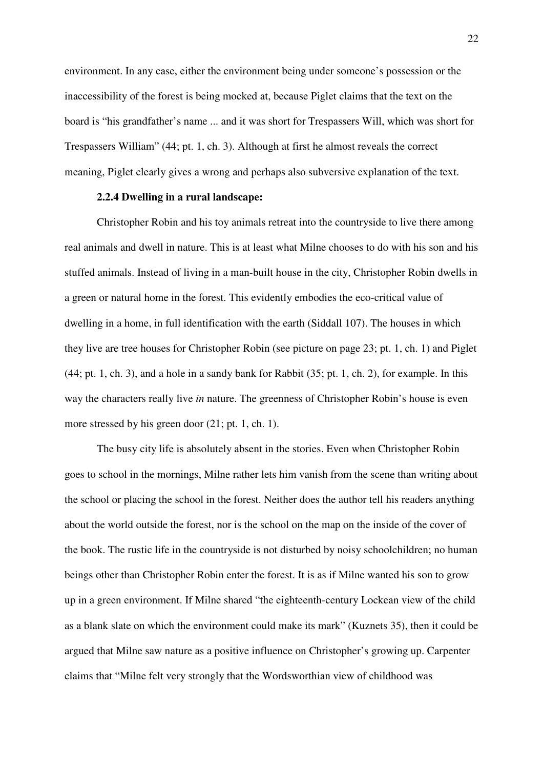environment. In any case, either the environment being under someone's possession or the inaccessibility of the forest is being mocked at, because Piglet claims that the text on the board is "his grandfather's name ... and it was short for Trespassers Will, which was short for Trespassers William" (44; pt. 1, ch. 3). Although at first he almost reveals the correct meaning, Piglet clearly gives a wrong and perhaps also subversive explanation of the text.

## **2.2.4 Dwelling in a rural landscape:**

Christopher Robin and his toy animals retreat into the countryside to live there among real animals and dwell in nature. This is at least what Milne chooses to do with his son and his stuffed animals. Instead of living in a man-built house in the city, Christopher Robin dwells in a green or natural home in the forest. This evidently embodies the eco-critical value of dwelling in a home, in full identification with the earth (Siddall 107). The houses in which they live are tree houses for Christopher Robin (see picture on page 23; pt. 1, ch. 1) and Piglet (44; pt. 1, ch. 3), and a hole in a sandy bank for Rabbit (35; pt. 1, ch. 2), for example. In this way the characters really live *in* nature. The greenness of Christopher Robin's house is even more stressed by his green door (21; pt. 1, ch. 1).

The busy city life is absolutely absent in the stories. Even when Christopher Robin goes to school in the mornings, Milne rather lets him vanish from the scene than writing about the school or placing the school in the forest. Neither does the author tell his readers anything about the world outside the forest, nor is the school on the map on the inside of the cover of the book. The rustic life in the countryside is not disturbed by noisy schoolchildren; no human beings other than Christopher Robin enter the forest. It is as if Milne wanted his son to grow up in a green environment. If Milne shared "the eighteenth-century Lockean view of the child as a blank slate on which the environment could make its mark" (Kuznets 35), then it could be argued that Milne saw nature as a positive influence on Christopher's growing up. Carpenter claims that "Milne felt very strongly that the Wordsworthian view of childhood was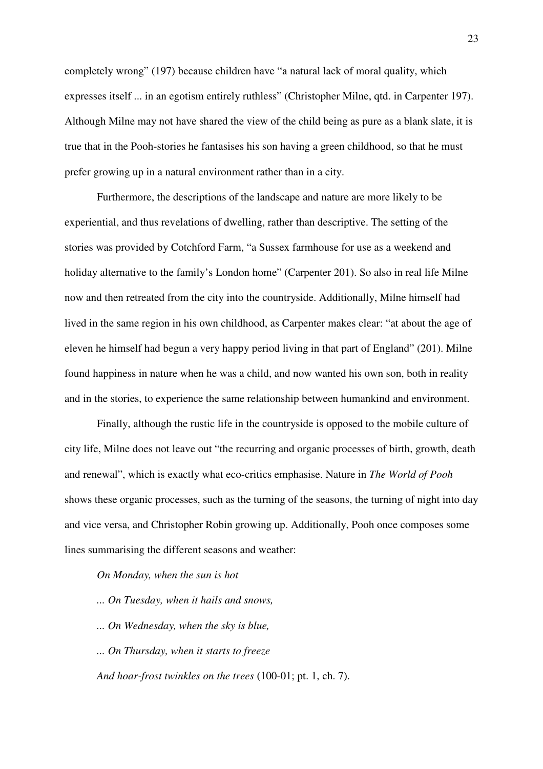completely wrong" (197) because children have "a natural lack of moral quality, which expresses itself ... in an egotism entirely ruthless" (Christopher Milne, qtd. in Carpenter 197). Although Milne may not have shared the view of the child being as pure as a blank slate, it is true that in the Pooh-stories he fantasises his son having a green childhood, so that he must prefer growing up in a natural environment rather than in a city.

Furthermore, the descriptions of the landscape and nature are more likely to be experiential, and thus revelations of dwelling, rather than descriptive. The setting of the stories was provided by Cotchford Farm, "a Sussex farmhouse for use as a weekend and holiday alternative to the family's London home" (Carpenter 201). So also in real life Milne now and then retreated from the city into the countryside. Additionally, Milne himself had lived in the same region in his own childhood, as Carpenter makes clear: "at about the age of eleven he himself had begun a very happy period living in that part of England" (201). Milne found happiness in nature when he was a child, and now wanted his own son, both in reality and in the stories, to experience the same relationship between humankind and environment.

Finally, although the rustic life in the countryside is opposed to the mobile culture of city life, Milne does not leave out "the recurring and organic processes of birth, growth, death and renewal", which is exactly what eco-critics emphasise. Nature in *The World of Pooh* shows these organic processes, such as the turning of the seasons, the turning of night into day and vice versa, and Christopher Robin growing up. Additionally, Pooh once composes some lines summarising the different seasons and weather:

## *On Monday, when the sun is hot*

- *... On Tuesday, when it hails and snows,*
- *... On Wednesday, when the sky is blue,*
- *... On Thursday, when it starts to freeze*
- *And hoar-frost twinkles on the trees* (100-01; pt. 1, ch. 7).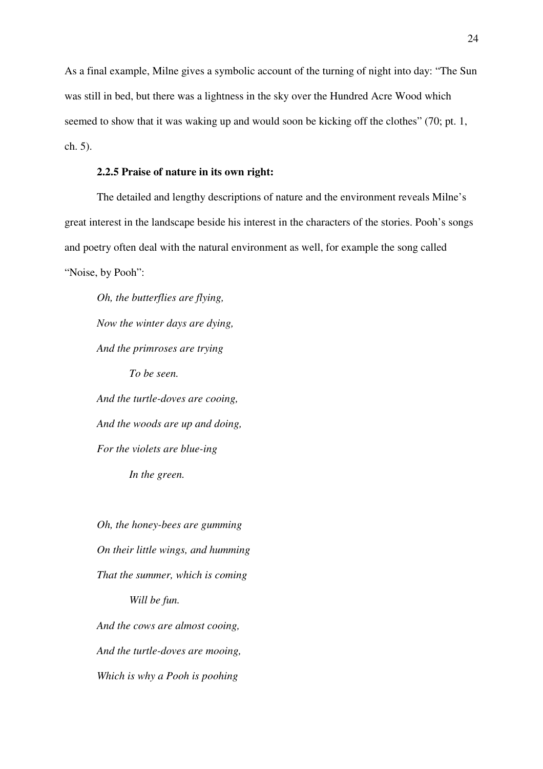As a final example, Milne gives a symbolic account of the turning of night into day: "The Sun was still in bed, but there was a lightness in the sky over the Hundred Acre Wood which seemed to show that it was waking up and would soon be kicking off the clothes" (70; pt. 1, ch. 5).

### **2.2.5 Praise of nature in its own right:**

The detailed and lengthy descriptions of nature and the environment reveals Milne's great interest in the landscape beside his interest in the characters of the stories. Pooh's songs and poetry often deal with the natural environment as well, for example the song called "Noise, by Pooh":

*Oh, the butterflies are flying, Now the winter days are dying, And the primroses are trying To be seen. And the turtle-doves are cooing, And the woods are up and doing, For the violets are blue-ing* 

*In the green.* 

*Oh, the honey-bees are gumming On their little wings, and humming That the summer, which is coming Will be fun. And the cows are almost cooing, And the turtle-doves are mooing, Which is why a Pooh is poohing*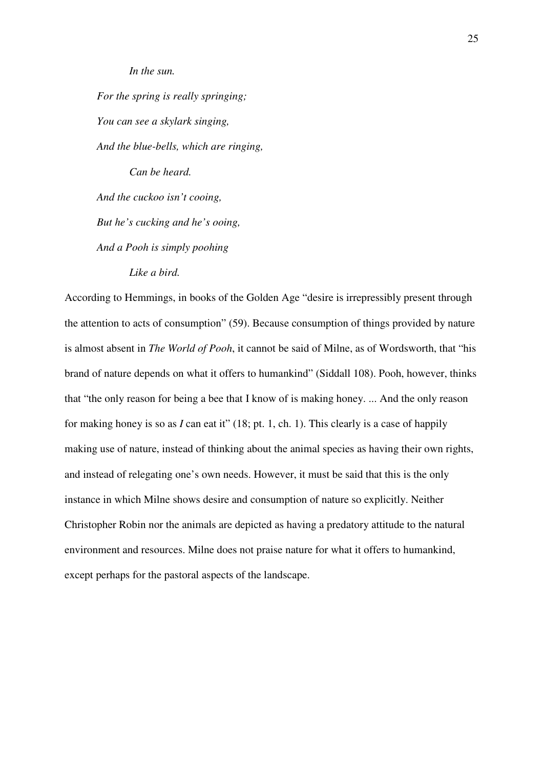*In the sun.* 

*For the spring is really springing; You can see a skylark singing, And the blue-bells, which are ringing, Can be heard. And the cuckoo isn't cooing, But he's cucking and he's ooing, And a Pooh is simply poohing Like a bird.*

According to Hemmings, in books of the Golden Age "desire is irrepressibly present through the attention to acts of consumption" (59). Because consumption of things provided by nature is almost absent in *The World of Pooh*, it cannot be said of Milne, as of Wordsworth, that "his brand of nature depends on what it offers to humankind" (Siddall 108). Pooh, however, thinks that "the only reason for being a bee that I know of is making honey. ... And the only reason for making honey is so as *I* can eat it" (18; pt. 1, ch. 1). This clearly is a case of happily making use of nature, instead of thinking about the animal species as having their own rights, and instead of relegating one's own needs. However, it must be said that this is the only instance in which Milne shows desire and consumption of nature so explicitly. Neither Christopher Robin nor the animals are depicted as having a predatory attitude to the natural environment and resources. Milne does not praise nature for what it offers to humankind, except perhaps for the pastoral aspects of the landscape.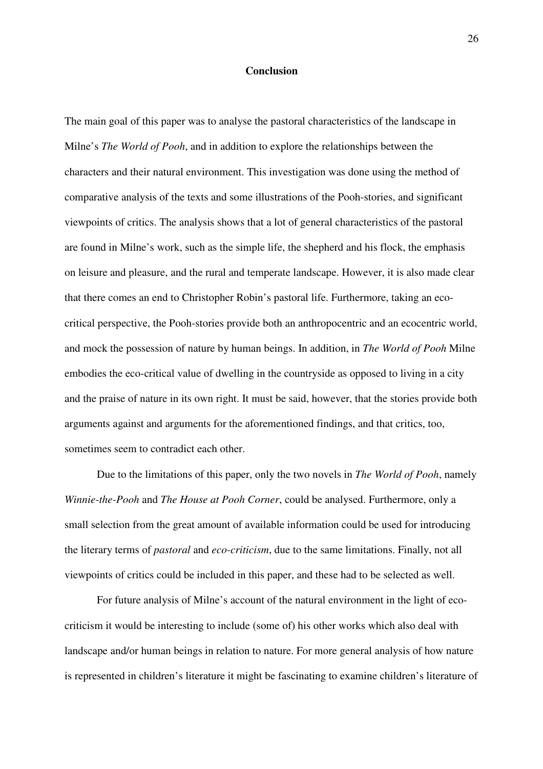## **Conclusion**

The main goal of this paper was to analyse the pastoral characteristics of the landscape in Milne's *The World of Pooh*, and in addition to explore the relationships between the characters and their natural environment. This investigation was done using the method of comparative analysis of the texts and some illustrations of the Pooh-stories, and significant viewpoints of critics. The analysis shows that a lot of general characteristics of the pastoral are found in Milne's work, such as the simple life, the shepherd and his flock, the emphasis on leisure and pleasure, and the rural and temperate landscape. However, it is also made clear that there comes an end to Christopher Robin's pastoral life. Furthermore, taking an ecocritical perspective, the Pooh-stories provide both an anthropocentric and an ecocentric world, and mock the possession of nature by human beings. In addition, in *The World of Pooh* Milne embodies the eco-critical value of dwelling in the countryside as opposed to living in a city and the praise of nature in its own right. It must be said, however, that the stories provide both arguments against and arguments for the aforementioned findings, and that critics, too, sometimes seem to contradict each other.

 Due to the limitations of this paper, only the two novels in *The World of Pooh*, namely *Winnie-the-Pooh* and *The House at Pooh Corner*, could be analysed. Furthermore, only a small selection from the great amount of available information could be used for introducing the literary terms of *pastoral* and *eco-criticism*, due to the same limitations. Finally, not all viewpoints of critics could be included in this paper, and these had to be selected as well.

For future analysis of Milne's account of the natural environment in the light of ecocriticism it would be interesting to include (some of) his other works which also deal with landscape and/or human beings in relation to nature. For more general analysis of how nature is represented in children's literature it might be fascinating to examine children's literature of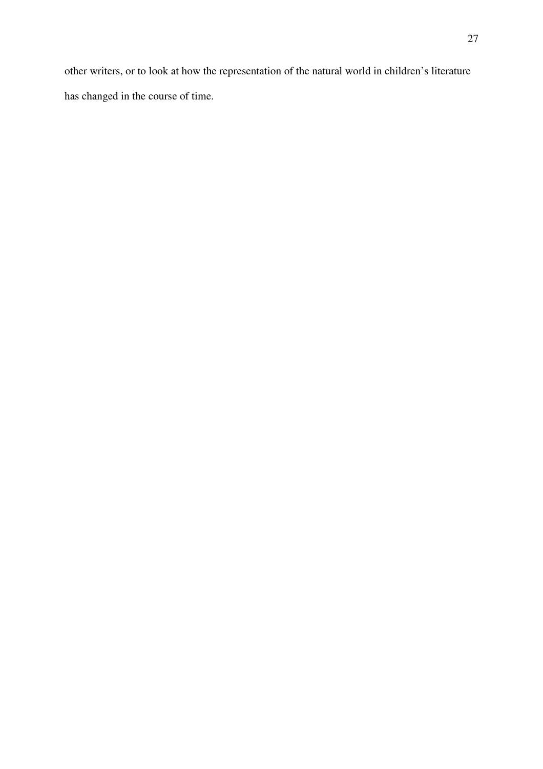other writers, or to look at how the representation of the natural world in children's literature has changed in the course of time.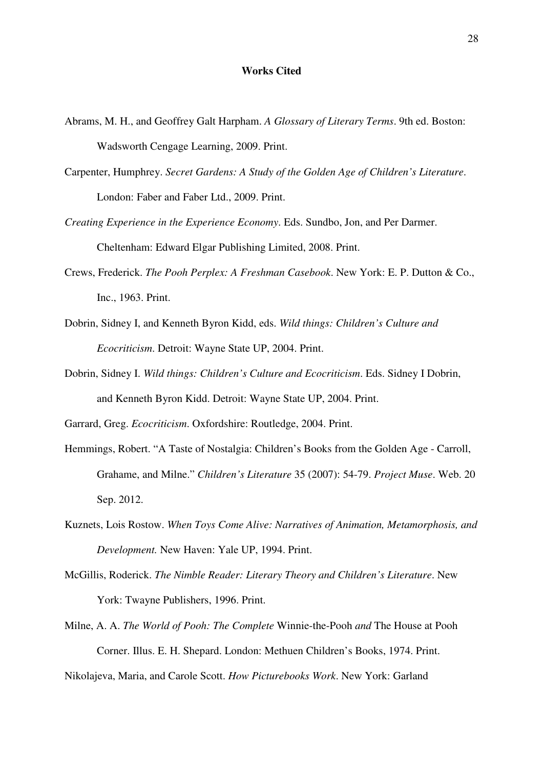#### **Works Cited**

- Abrams, M. H., and Geoffrey Galt Harpham. *A Glossary of Literary Terms*. 9th ed. Boston: Wadsworth Cengage Learning, 2009. Print.
- Carpenter, Humphrey. *Secret Gardens: A Study of the Golden Age of Children's Literature*. London: Faber and Faber Ltd., 2009. Print.
- *Creating Experience in the Experience Economy*. Eds. Sundbo, Jon, and Per Darmer. Cheltenham: Edward Elgar Publishing Limited, 2008. Print.
- Crews, Frederick. *The Pooh Perplex: A Freshman Casebook*. New York: E. P. Dutton & Co., Inc., 1963. Print.
- Dobrin, Sidney I, and Kenneth Byron Kidd, eds. *Wild things: Children's Culture and Ecocriticism*. Detroit: Wayne State UP, 2004. Print.
- Dobrin, Sidney I. *Wild things: Children's Culture and Ecocriticism*. Eds. Sidney I Dobrin, and Kenneth Byron Kidd. Detroit: Wayne State UP, 2004. Print.
- Garrard, Greg. *Ecocriticism*. Oxfordshire: Routledge, 2004. Print.
- Hemmings, Robert. "A Taste of Nostalgia: Children's Books from the Golden Age Carroll, Grahame, and Milne." *Children's Literature* 35 (2007): 54-79. *Project Muse*. Web. 20 Sep. 2012.
- Kuznets, Lois Rostow. *When Toys Come Alive: Narratives of Animation, Metamorphosis, and Development.* New Haven: Yale UP, 1994. Print.
- McGillis, Roderick. *The Nimble Reader: Literary Theory and Children's Literature*. New York: Twayne Publishers, 1996. Print.
- Milne, A. A. *The World of Pooh: The Complete* Winnie-the-Pooh *and* The House at Pooh Corner. Illus. E. H. Shepard. London: Methuen Children's Books, 1974. Print.

Nikolajeva, Maria, and Carole Scott. *How Picturebooks Work*. New York: Garland